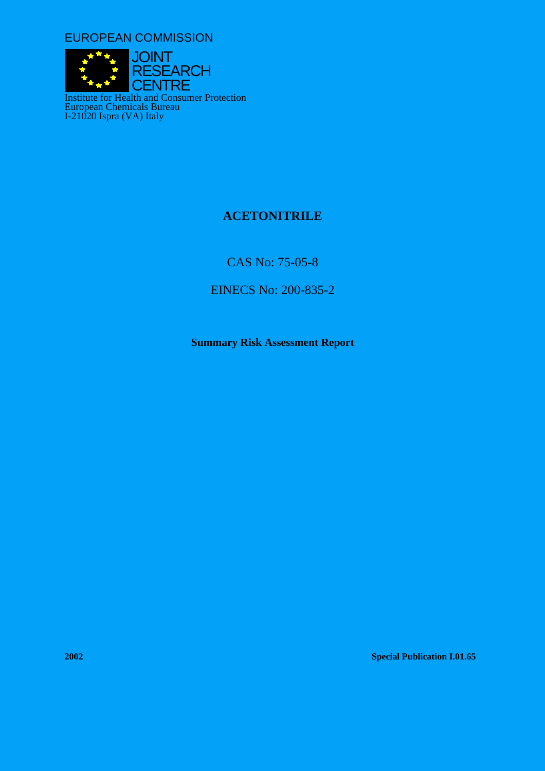EUROPEAN COMMISSION



# **ACETONITRILE**

CAS No: 75-05-8

EINECS No: 200-835-2

**Summary Risk Assessment Report** 

**2002 Special Publication I.01.65**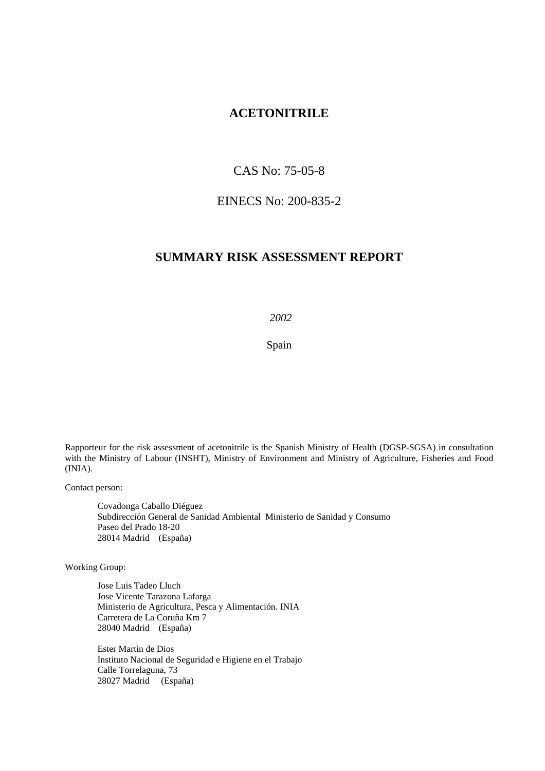# **ACETONITRILE**

# CAS No: 75-05-8

# EINECS No: 200-835-2

# **SUMMARY RISK ASSESSMENT REPORT**

 *2002* 

Spain

Rapporteur for the risk assessment of acetonitrile is the Spanish Ministry of Health (DGSP-SGSA) in consultation with the Ministry of Labour (INSHT), Ministry of Environment and Ministry of Agriculture, Fisheries and Food (INIA).

Contact person:

Covadonga Caballo Diéguez Subdirección General de Sanidad Ambiental Ministerio de Sanidad y Consumo Paseo del Prado 18-20 28014 Madrid (España)

Working Group:

Jose Luis Tadeo Lluch Jose Vicente Tarazona Lafarga Ministerio de Agricultura, Pesca y Alimentación. INIA Carretera de La Coruña Km 7 28040 Madrid (España)

Ester Martin de Dios Instituto Nacional de Seguridad e Higiene en el Trabajo Calle Torrelaguna, 73 28027 Madrid (España)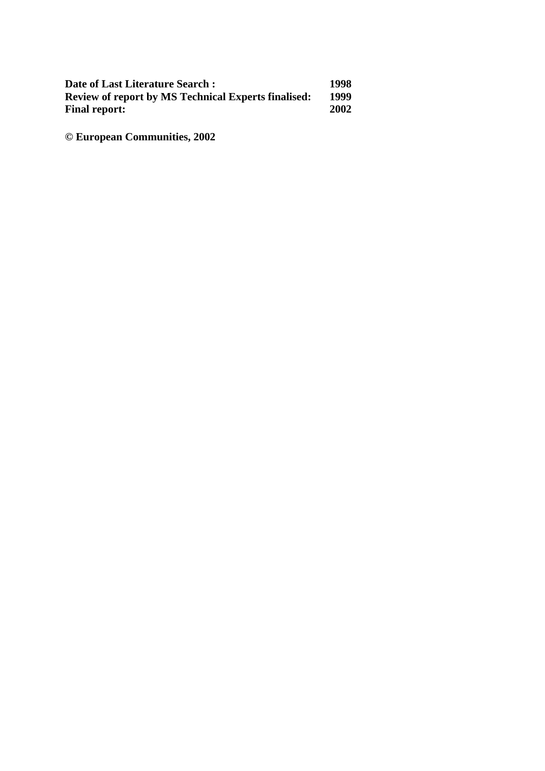| Date of Last Literature Search:                            | 1998 |
|------------------------------------------------------------|------|
| <b>Review of report by MS Technical Experts finalised:</b> | 1999 |
| <b>Final report:</b>                                       | 2002 |

**© European Communities, 2002**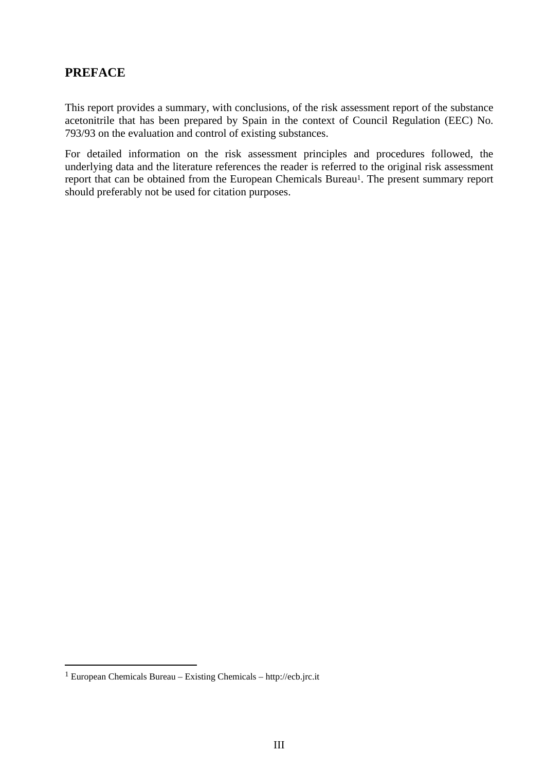# **PREFACE**

This report provides a summary, with conclusions, of the risk assessment report of the substance acetonitrile that has been prepared by Spain in the context of Council Regulation (EEC) No. 793/93 on the evaluation and control of existing substances.

For detailed information on the risk assessment principles and procedures followed, the underlying data and the literature references the reader is referred to the original risk assessment report that can be obtained from the European Chemicals Bureau<sup>1</sup>. The present summary report should preferably not be used for citation purposes.

 $\overline{a}$ 

<span id="page-4-0"></span><sup>1</sup> European Chemicals Bureau – Existing Chemicals – http://ecb.jrc.it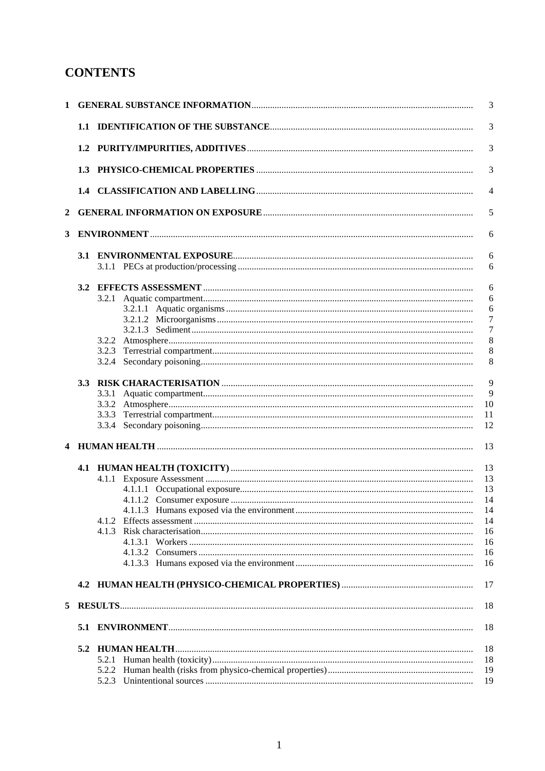# **CONTENTS**

| $\mathbf{1}$ |     |       | 3                   |
|--------------|-----|-------|---------------------|
|              |     |       | 3                   |
|              |     |       | 3                   |
|              | 1.3 |       | 3                   |
|              |     |       | $\overline{4}$      |
| 2            |     |       | 5                   |
| 3            |     |       | 6                   |
|              |     |       | 6                   |
|              |     |       | 6                   |
|              | 3.2 |       |                     |
|              |     |       | 6<br>6              |
|              |     |       |                     |
|              |     |       | 6<br>$\overline{7}$ |
|              |     |       | $\overline{7}$      |
|              |     |       | 8                   |
|              |     | 3.2.3 | 8                   |
|              |     |       | 8                   |
|              |     |       |                     |
|              | 3.3 |       | 9                   |
|              |     | 3.3.1 | 9                   |
|              |     |       | 10                  |
|              |     | 3.3.3 | 11                  |
|              |     |       | 12                  |
|              |     |       |                     |
|              |     |       | 13                  |
|              |     |       |                     |
|              |     |       | 13                  |
|              |     |       | 13                  |
|              |     |       | 13                  |
|              |     |       | 14                  |
|              |     |       | 14                  |
|              |     | 4.1.2 | 14                  |
|              |     |       | 16                  |
|              |     |       | 16                  |
|              |     |       | 16                  |
|              |     |       | 16                  |
|              |     |       | 17                  |
|              |     |       |                     |
| 5            |     |       | 18                  |
|              |     |       | 18                  |
|              |     |       | 18                  |
|              |     |       | 18                  |
|              |     |       | 19                  |
|              |     |       | 19                  |
|              |     |       |                     |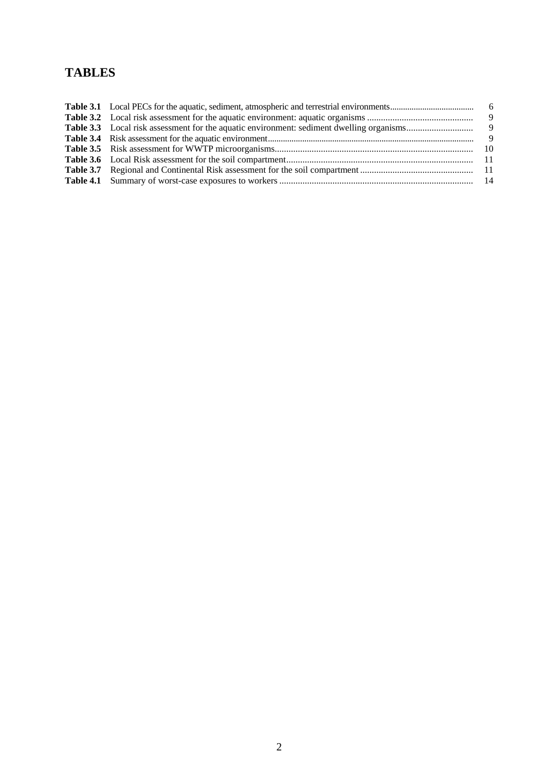# **TABLES**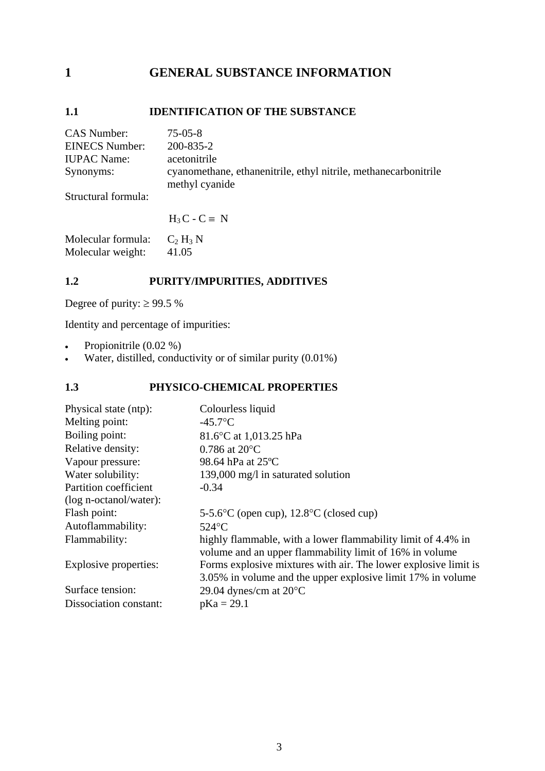# <span id="page-8-0"></span>**1 GENERAL SUBSTANCE INFORMATION**

# **1.1 IDENTIFICATION OF THE SUBSTANCE**

| CAS Number:           | $75-05-8$                                                                         |
|-----------------------|-----------------------------------------------------------------------------------|
| <b>EINECS Number:</b> | 200-835-2                                                                         |
| <b>IUPAC Name:</b>    | acetonitrile                                                                      |
| Synonyms:             | cyanomethane, ethanenitrile, ethyl nitrile, methanecarbonitrile<br>methyl cyanide |
|                       |                                                                                   |

Structural formula:

 $H_3 C - C \equiv N$ 

Molecular formula:  $C_2 H_3 N$ <br>Molecular weight: 41.05 Molecular weight:

# **1.2 PURITY/IMPURITIES, ADDITIVES**

Degree of purity:  $\geq 99.5$  %

Identity and percentage of impurities:

- Propionitrile  $(0.02\%)$
- Water, distilled, conductivity or of similar purity  $(0.01\%)$

# **1.3 PHYSICO-CHEMICAL PROPERTIES**

| Physical state (ntp):  | Colourless liquid                                                                                                              |
|------------------------|--------------------------------------------------------------------------------------------------------------------------------|
| Melting point:         | $-45.7$ °C                                                                                                                     |
| Boiling point:         | 81.6°C at 1,013.25 hPa                                                                                                         |
| Relative density:      | $0.786$ at $20^{\circ}$ C                                                                                                      |
| Vapour pressure:       | 98.64 hPa at 25°C                                                                                                              |
| Water solubility:      | 139,000 mg/l in saturated solution                                                                                             |
| Partition coefficient  | $-0.34$                                                                                                                        |
| (log n-octanol/water): |                                                                                                                                |
| Flash point:           | 5-5.6 $\rm{^{\circ}C}$ (open cup), 12.8 $\rm{^{\circ}C}$ (closed cup)                                                          |
| Autoflammability:      | $524$ °C                                                                                                                       |
| Flammability:          | highly flammable, with a lower flammability limit of 4.4% in<br>volume and an upper flammability limit of 16% in volume        |
| Explosive properties:  | Forms explosive mixtures with air. The lower explosive limit is<br>3.05% in volume and the upper explosive limit 17% in volume |
| Surface tension:       | 29.04 dynes/cm at $20^{\circ}$ C                                                                                               |
| Dissociation constant: | $pKa = 29.1$                                                                                                                   |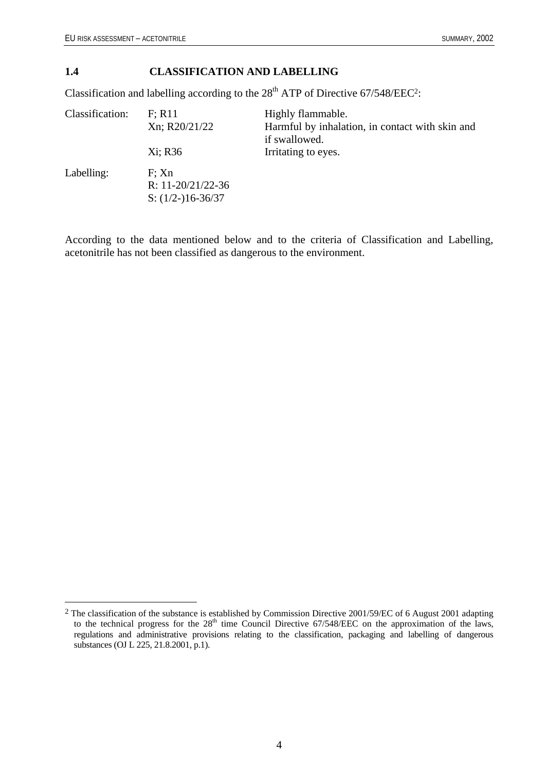$\overline{a}$ 

#### <span id="page-9-0"></span>**1.4 CLASSIFICATION AND LABELLING**

Classification and labelling according to the  $28<sup>th</sup>$  ATP of Directive 67/548/EEC<sup>2</sup>:

| Classification: | F: R11<br>Xn; R20/21/22                             | Highly flammable.<br>Harmful by inhalation, in contact with skin and<br>if swallowed. |
|-----------------|-----------------------------------------------------|---------------------------------------------------------------------------------------|
|                 | Xi; R36                                             | Irritating to eyes.                                                                   |
| Labelling:      | F: Xn<br>R: $11-20/21/22-36$<br>S: $(1/2-)16-36/37$ |                                                                                       |

According to the data mentioned below and to the criteria of Classification and Labelling, acetonitrile has not been classified as dangerous to the environment.

<span id="page-9-1"></span><sup>&</sup>lt;sup>2</sup> The classification of the substance is established by Commission Directive 2001/59/EC of 6 August 2001 adapting to the technical progress for the  $28<sup>th</sup>$  time Council Directive 67/548/EEC on the approximation of the laws, regulations and administrative provisions relating to the classification, packaging and labelling of dangerous substances (OJ L 225, 21.8.2001, p.1).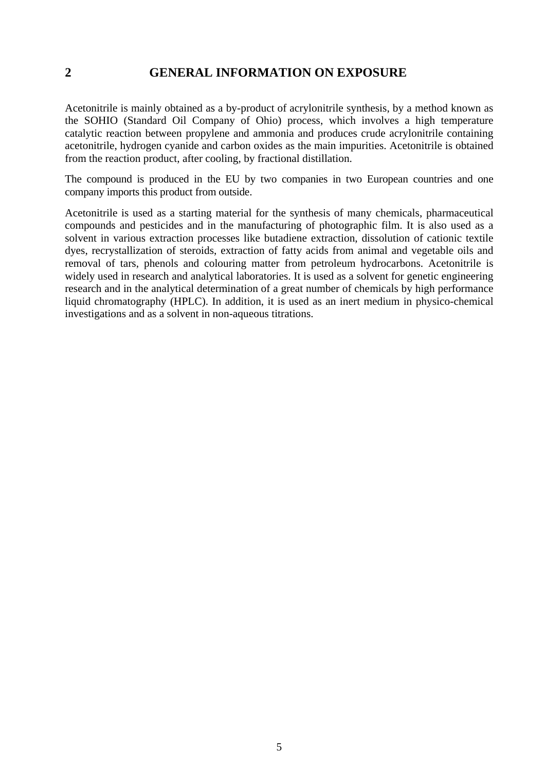# <span id="page-10-0"></span>**2 GENERAL INFORMATION ON EXPOSURE**

Acetonitrile is mainly obtained as a by-product of acrylonitrile synthesis, by a method known as the SOHIO (Standard Oil Company of Ohio) process, which involves a high temperature catalytic reaction between propylene and ammonia and produces crude acrylonitrile containing acetonitrile, hydrogen cyanide and carbon oxides as the main impurities. Acetonitrile is obtained from the reaction product, after cooling, by fractional distillation.

The compound is produced in the EU by two companies in two European countries and one company imports this product from outside.

Acetonitrile is used as a starting material for the synthesis of many chemicals, pharmaceutical compounds and pesticides and in the manufacturing of photographic film. It is also used as a solvent in various extraction processes like butadiene extraction, dissolution of cationic textile dyes, recrystallization of steroids, extraction of fatty acids from animal and vegetable oils and removal of tars, phenols and colouring matter from petroleum hydrocarbons. Acetonitrile is widely used in research and analytical laboratories. It is used as a solvent for genetic engineering research and in the analytical determination of a great number of chemicals by high performance liquid chromatography (HPLC). In addition, it is used as an inert medium in physico-chemical investigations and as a solvent in non-aqueous titrations.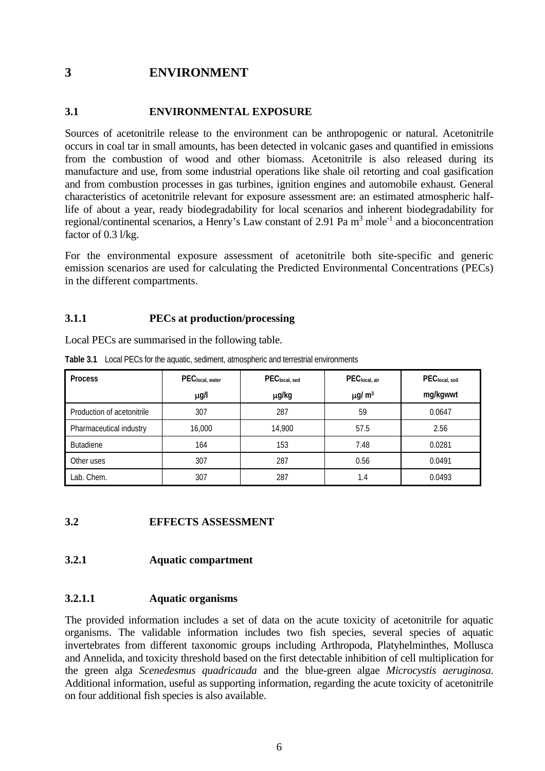# <span id="page-11-0"></span>**3 ENVIRONMENT**

## **3.1 ENVIRONMENTAL EXPOSURE**

Sources of acetonitrile release to the environment can be anthropogenic or natural. Acetonitrile occurs in coal tar in small amounts, has been detected in volcanic gases and quantified in emissions from the combustion of wood and other biomass. Acetonitrile is also released during its manufacture and use, from some industrial operations like shale oil retorting and coal gasification and from combustion processes in gas turbines, ignition engines and automobile exhaust. General characteristics of acetonitrile relevant for exposure assessment are: an estimated atmospheric halflife of about a year, ready biodegradability for local scenarios and inherent biodegradability for regional/continental scenarios, a Henry's Law constant of 2.91 Pa m<sup>3</sup> mole<sup>-1</sup> and a bioconcentration factor of 0.3 l/kg.

For the environmental exposure assessment of acetonitrile both site-specific and generic emission scenarios are used for calculating the Predicted Environmental Concentrations (PECs) in the different compartments.

### **3.1.1 PECs at production/processing**

Local PECs are summarised in the following table.

| <b>Process</b>             | PEClocal, water | PEC <sub>local, sed</sub> | PEClocal, air           | PEClocal, soil |
|----------------------------|-----------------|---------------------------|-------------------------|----------------|
|                            | $\mu$ g/l       | µg/kg                     | $\mu$ g/ m <sup>3</sup> | mg/kgwwt       |
| Production of acetonitrile | 307             | 287                       | 59                      | 0.0647         |
| Pharmaceutical industry    | 16,000          | 14,900                    | 57.5                    | 2.56           |
| <b>Butadiene</b>           | 164             | 153                       | 7.48                    | 0.0281         |
| Other uses                 | 307             | 287                       | 0.56                    | 0.0491         |
| Lab. Chem.                 | 307             | 287                       | 1.4                     | 0.0493         |

**Table 3.1** Local PECs for the aquatic, sediment, atmospheric and terrestrial environments

## **3.2 EFFECTS ASSESSMENT**

#### **3.2.1 Aquatic compartment**

## **3.2.1.1 Aquatic organisms**

The provided information includes a set of data on the acute toxicity of acetonitrile for aquatic organisms. The validable information includes two fish species, several species of aquatic invertebrates from different taxonomic groups including Arthropoda, Platyhelminthes, Mollusca and Annelida, and toxicity threshold based on the first detectable inhibition of cell multiplication for the green alga *Scenedesmus quadricauda* and the blue-green algae *Microcystis aeruginosa*. Additional information, useful as supporting information, regarding the acute toxicity of acetonitrile on four additional fish species is also available.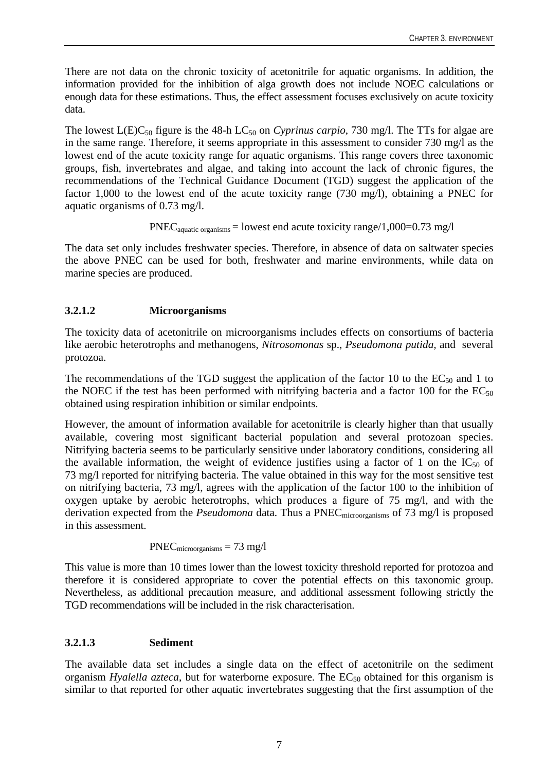<span id="page-12-0"></span>There are not data on the chronic toxicity of acetonitrile for aquatic organisms. In addition, the information provided for the inhibition of alga growth does not include NOEC calculations or enough data for these estimations. Thus, the effect assessment focuses exclusively on acute toxicity data.

The lowest  $L(E)C_{50}$  figure is the 48-h  $LC_{50}$  on *Cyprinus carpio*, 730 mg/l. The TTs for algae are in the same range. Therefore, it seems appropriate in this assessment to consider 730 mg/l as the lowest end of the acute toxicity range for aquatic organisms. This range covers three taxonomic groups, fish, invertebrates and algae, and taking into account the lack of chronic figures, the recommendations of the Technical Guidance Document (TGD) suggest the application of the factor 1,000 to the lowest end of the acute toxicity range (730 mg/l), obtaining a PNEC for aquatic organisms of 0.73 mg/l.

 $PNEC_{aquatic organisms} =$  lowest end acute toxicity range/1,000=0.73 mg/l

The data set only includes freshwater species. Therefore, in absence of data on saltwater species the above PNEC can be used for both, freshwater and marine environments, while data on marine species are produced.

# **3.2.1.2 Microorganisms**

The toxicity data of acetonitrile on microorganisms includes effects on consortiums of bacteria like aerobic heterotrophs and methanogens, *Nitrosomonas* sp., *Pseudomona putida,* and several protozoa.

The recommendations of the TGD suggest the application of the factor 10 to the  $EC_{50}$  and 1 to the NOEC if the test has been performed with nitrifying bacteria and a factor 100 for the  $EC_{50}$ obtained using respiration inhibition or similar endpoints.

However, the amount of information available for acetonitrile is clearly higher than that usually available, covering most significant bacterial population and several protozoan species. Nitrifying bacteria seems to be particularly sensitive under laboratory conditions, considering all the available information, the weight of evidence justifies using a factor of 1 on the  $IC_{50}$  of 73 mg/l reported for nitrifying bacteria. The value obtained in this way for the most sensitive test on nitrifying bacteria, 73 mg/l, agrees with the application of the factor 100 to the inhibition of oxygen uptake by aerobic heterotrophs, which produces a figure of 75 mg/l, and with the derivation expected from the *Pseudomona* data. Thus a PNEC<sub>microorganisms</sub> of 73 mg/l is proposed in this assessment.

 $PNEC<sub>microorganisms</sub> = 73 mg/l$ 

This value is more than 10 times lower than the lowest toxicity threshold reported for protozoa and therefore it is considered appropriate to cover the potential effects on this taxonomic group. Nevertheless, as additional precaution measure, and additional assessment following strictly the TGD recommendations will be included in the risk characterisation.

# **3.2.1.3 Sediment**

The available data set includes a single data on the effect of acetonitrile on the sediment organism *Hyalella azteca*, but for waterborne exposure. The  $EC_{50}$  obtained for this organism is similar to that reported for other aquatic invertebrates suggesting that the first assumption of the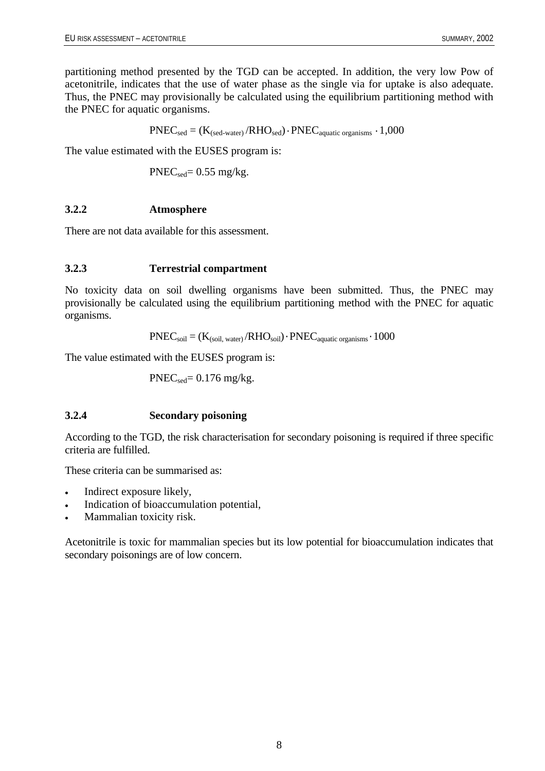<span id="page-13-0"></span>partitioning method presented by the TGD can be accepted. In addition, the very low Pow of acetonitrile, indicates that the use of water phase as the single via for uptake is also adequate. Thus, the PNEC may provisionally be calculated using the equilibrium partitioning method with the PNEC for aquatic organisms.

 $PNEC_{sed} = (K_{(sed-water)}/RHO_{sed}) \cdot PNEC_{aquatic organisms} \cdot 1,000$ 

The value estimated with the EUSES program is:

 $PNEC_{sed} = 0.55$  mg/kg.

## **3.2.2 Atmosphere**

There are not data available for this assessment.

#### **3.2.3 Terrestrial compartment**

No toxicity data on soil dwelling organisms have been submitted. Thus, the PNEC may provisionally be calculated using the equilibrium partitioning method with the PNEC for aquatic organisms.

$$
PNEC_{soil} = (K_{(soil, water)}/RHO_{soil}) \cdot PNEC_{aquatic organisms} \cdot 1000
$$

The value estimated with the EUSES program is:

 $PNEC_{sed}= 0.176$  mg/kg.

## **3.2.4 Secondary poisoning**

According to the TGD, the risk characterisation for secondary poisoning is required if three specific criteria are fulfilled.

These criteria can be summarised as:

- Indirect exposure likely,
- Indication of bioaccumulation potential,
- Mammalian toxicity risk.

Acetonitrile is toxic for mammalian species but its low potential for bioaccumulation indicates that secondary poisonings are of low concern.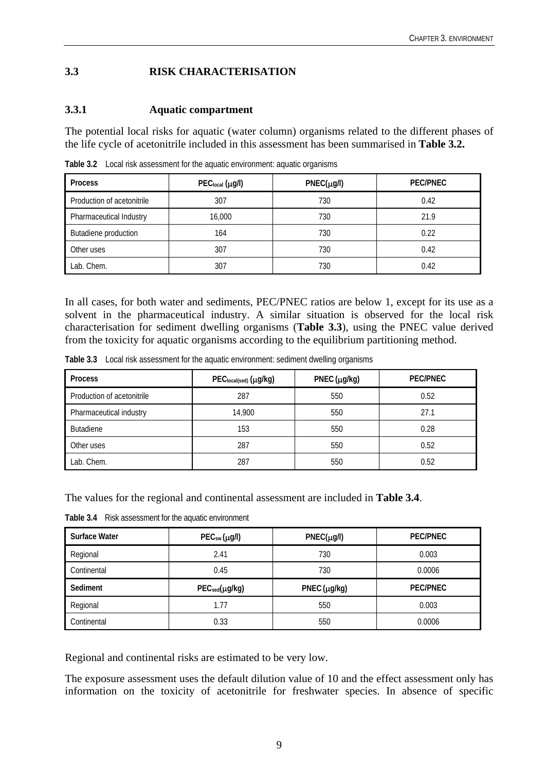# <span id="page-14-0"></span>**3.3 RISK CHARACTERISATION**

## **3.3.1 Aquatic compartment**

The potential local risks for aquatic (water column) organisms related to the different phases of the life cycle of acetonitrile included in this assessment has been summarised in **Table 3.2.**

| <b>Process</b>             | $PEC_{local} (\mu g/l)$ | $PNEC(\mu g/l)$ | <b>PEC/PNEC</b> |
|----------------------------|-------------------------|-----------------|-----------------|
| Production of acetonitrile | 307                     | 730             | 0.42            |
| Pharmaceutical Industry    | 16,000                  | 730             | 21.9            |
| Butadiene production       | 164                     | 730             | 0.22            |
| Other uses                 | 307                     | 730             | 0.42            |
| Lab. Chem.                 | 307                     | 730             | 0.42            |

**Table 3.2** Local risk assessment for the aquatic environment: aquatic organisms

In all cases, for both water and sediments, PEC/PNEC ratios are below 1, except for its use as a solvent in the pharmaceutical industry. A similar situation is observed for the local risk characterisation for sediment dwelling organisms (**Table 3.3**), using the PNEC value derived from the toxicity for aquatic organisms according to the equilibrium partitioning method.

**Table 3.3** Local risk assessment for the aquatic environment: sediment dwelling organisms

| <b>Process</b>             | PEClocal(sed) (µg/kg) | PNEC $(\mu g/kg)$ | <b>PEC/PNEC</b> |
|----------------------------|-----------------------|-------------------|-----------------|
| Production of acetonitrile | 287                   | 550               | 0.52            |
| Pharmaceutical industry    | 14,900                | 550               | 27.1            |
| <b>Butadiene</b>           | 153                   | 550               | 0.28            |
| Other uses                 | 287                   | 550               | 0.52            |
| Lab. Chem.                 | 287                   | 550               | 0.52            |

The values for the regional and continental assessment are included in **Table 3.4**.

**Table 3.4** Risk assessment for the aquatic environment

| <b>Surface Water</b> | PEC <sub>sw</sub> (µg/l)   | $PNEC(\mu g/l)$   | <b>PEC/PNEC</b> |
|----------------------|----------------------------|-------------------|-----------------|
| Regional             | 2.41                       | 730               | 0.003           |
| Continental          | 0.45                       | 730               | 0.0006          |
|                      |                            |                   |                 |
| Sediment             | PEC <sub>sed</sub> (µg/kg) | PNEC $(\mu g/kg)$ | <b>PEC/PNEC</b> |
| Regional             | 1.77                       | 550               | 0.003           |

Regional and continental risks are estimated to be very low.

The exposure assessment uses the default dilution value of 10 and the effect assessment only has information on the toxicity of acetonitrile for freshwater species. In absence of specific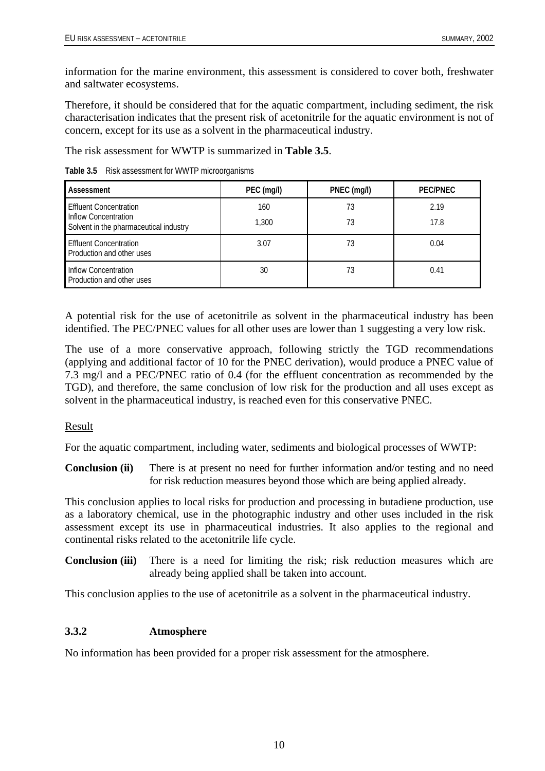<span id="page-15-0"></span>information for the marine environment, this assessment is considered to cover both, freshwater and saltwater ecosystems.

Therefore, it should be considered that for the aquatic compartment, including sediment, the risk characterisation indicates that the present risk of acetonitrile for the aquatic environment is not of concern, except for its use as a solvent in the pharmaceutical industry.

The risk assessment for WWTP is summarized in **Table 3.5**.

**Table 3.5** Risk assessment for WWTP microorganisms

| Assessment                                                 | PEC (mg/l)   | PNEC (mg/l) | <b>PEC/PNEC</b> |
|------------------------------------------------------------|--------------|-------------|-----------------|
| Effluent Concentration<br>Inflow Concentration             | 160<br>1,300 | 73<br>73    | 2.19<br>17.8    |
| Solvent in the pharmaceutical industry                     |              |             |                 |
| <b>Effluent Concentration</b><br>Production and other uses | 3.07         | 73          | 0.04            |
| Inflow Concentration<br>Production and other uses          | 30           | 73          | 0.41            |

A potential risk for the use of acetonitrile as solvent in the pharmaceutical industry has been identified. The PEC/PNEC values for all other uses are lower than 1 suggesting a very low risk.

The use of a more conservative approach, following strictly the TGD recommendations (applying and additional factor of 10 for the PNEC derivation), would produce a PNEC value of 7.3 mg/l and a PEC/PNEC ratio of 0.4 (for the effluent concentration as recommended by the TGD), and therefore, the same conclusion of low risk for the production and all uses except as solvent in the pharmaceutical industry, is reached even for this conservative PNEC.

## Result

For the aquatic compartment, including water, sediments and biological processes of WWTP:

**Conclusion (ii)** There is at present no need for further information and/or testing and no need for risk reduction measures beyond those which are being applied already.

This conclusion applies to local risks for production and processing in butadiene production, use as a laboratory chemical, use in the photographic industry and other uses included in the risk assessment except its use in pharmaceutical industries. It also applies to the regional and continental risks related to the acetonitrile life cycle.

**Conclusion (iii)** There is a need for limiting the risk; risk reduction measures which are already being applied shall be taken into account.

This conclusion applies to the use of acetonitrile as a solvent in the pharmaceutical industry.

# **3.3.2 Atmosphere**

No information has been provided for a proper risk assessment for the atmosphere.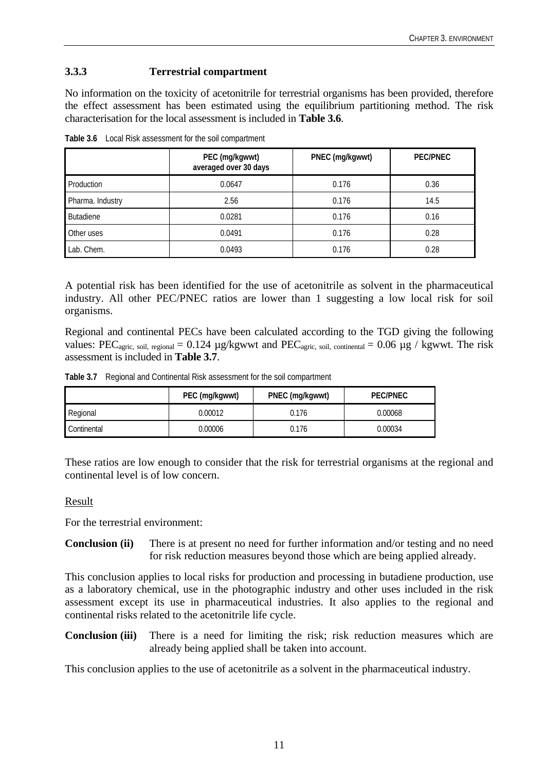# <span id="page-16-0"></span>**3.3.3 Terrestrial compartment**

No information on the toxicity of acetonitrile for terrestrial organisms has been provided, therefore the effect assessment has been estimated using the equilibrium partitioning method. The risk characterisation for the local assessment is included in **Table 3.6**.

|                  | PEC (mg/kgwwt)<br>averaged over 30 days | PNEC (mg/kgwwt) | <b>PEC/PNEC</b> |
|------------------|-----------------------------------------|-----------------|-----------------|
| Production       | 0.0647                                  | 0.176           | 0.36            |
| Pharma. Industry | 2.56                                    | 0.176           | 14.5            |
| <b>Butadiene</b> | 0.0281                                  | 0.176           | 0.16            |
| Other uses       | 0.0491                                  | 0.176           | 0.28            |
| Lab. Chem.       | 0.0493                                  | 0.176           | 0.28            |

**Table 3.6** Local Risk assessment for the soil compartment

A potential risk has been identified for the use of acetonitrile as solvent in the pharmaceutical industry. All other PEC/PNEC ratios are lower than 1 suggesting a low local risk for soil organisms.

Regional and continental PECs have been calculated according to the TGD giving the following values: PEC<sub>agric, soil, regional</sub> =  $0.124 \mu$ g/kgwwt and PEC<sub>agric, soil, continental</sub> =  $0.06 \mu$ g / kgwwt. The risk assessment is included in **Table 3.7**.

**Table 3.7** Regional and Continental Risk assessment for the soil compartment

|             | PEC (mg/kgwwt) | PNEC (mg/kgwwt) | PEC/PNEC |  |
|-------------|----------------|-----------------|----------|--|
| Regional    | 0.00012        | 0.176           | 0.00068  |  |
| Continental | 0.00006        | 0.176           | 0.00034  |  |

These ratios are low enough to consider that the risk for terrestrial organisms at the regional and continental level is of low concern.

#### Result

For the terrestrial environment:

**Conclusion (ii)** There is at present no need for further information and/or testing and no need for risk reduction measures beyond those which are being applied already.

This conclusion applies to local risks for production and processing in butadiene production, use as a laboratory chemical, use in the photographic industry and other uses included in the risk assessment except its use in pharmaceutical industries. It also applies to the regional and continental risks related to the acetonitrile life cycle.

**Conclusion (iii)** There is a need for limiting the risk; risk reduction measures which are already being applied shall be taken into account.

This conclusion applies to the use of acetonitrile as a solvent in the pharmaceutical industry.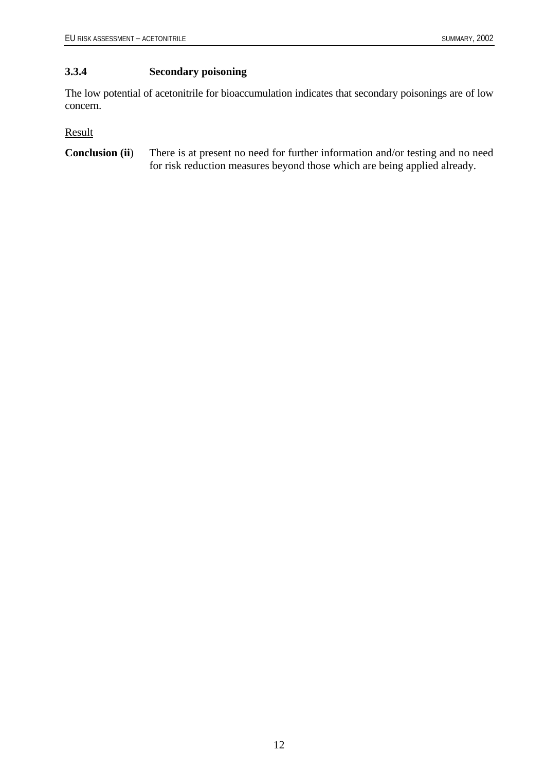# <span id="page-17-0"></span>**3.3.4 Secondary poisoning**

The low potential of acetonitrile for bioaccumulation indicates that secondary poisonings are of low concern.

Result

**Conclusion (ii**) There is at present no need for further information and/or testing and no need for risk reduction measures beyond those which are being applied already.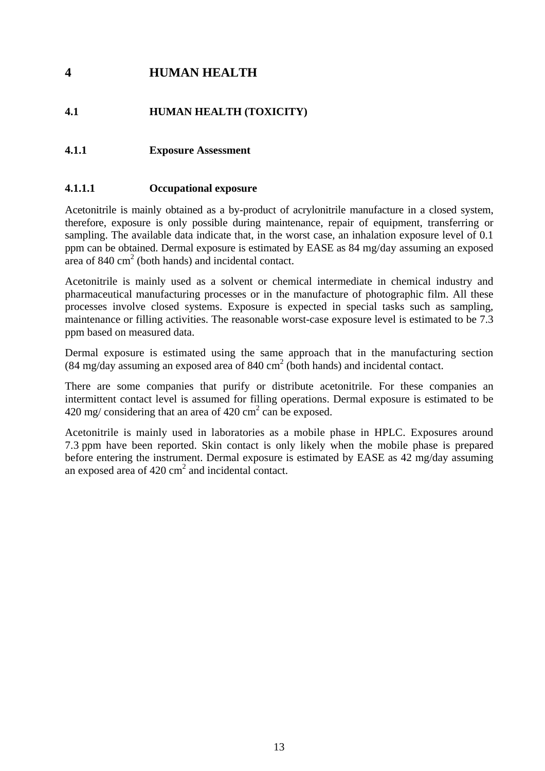# <span id="page-18-0"></span>**4 HUMAN HEALTH**

# **4.1 HUMAN HEALTH (TOXICITY)**

# **4.1.1 Exposure Assessment**

# **4.1.1.1 Occupational exposure**

Acetonitrile is mainly obtained as a by-product of acrylonitrile manufacture in a closed system, therefore, exposure is only possible during maintenance, repair of equipment, transferring or sampling. The available data indicate that, in the worst case, an inhalation exposure level of 0.1 ppm can be obtained. Dermal exposure is estimated by EASE as 84 mg/day assuming an exposed area of  $840 \text{ cm}^2$  (both hands) and incidental contact.

Acetonitrile is mainly used as a solvent or chemical intermediate in chemical industry and pharmaceutical manufacturing processes or in the manufacture of photographic film. All these processes involve closed systems. Exposure is expected in special tasks such as sampling, maintenance or filling activities. The reasonable worst-case exposure level is estimated to be 7.3 ppm based on measured data.

Dermal exposure is estimated using the same approach that in the manufacturing section  $(84 \text{ mg/day})$  assuming an exposed area of  $840 \text{ cm}^2$  (both hands) and incidental contact.

There are some companies that purify or distribute acetonitrile. For these companies an intermittent contact level is assumed for filling operations. Dermal exposure is estimated to be  $420 \text{ mg/considering that an area of } 420 \text{ cm}^2 \text{ can be exposed.}$ 

Acetonitrile is mainly used in laboratories as a mobile phase in HPLC. Exposures around 7.3 ppm have been reported. Skin contact is only likely when the mobile phase is prepared before entering the instrument. Dermal exposure is estimated by EASE as 42 mg/day assuming an exposed area of  $420 \text{ cm}^2$  and incidental contact.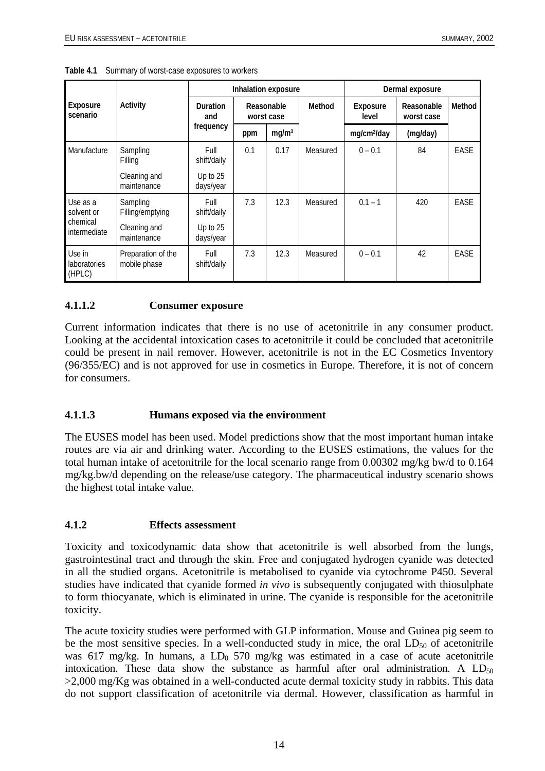| <b>Exposure</b><br>scenario                        | Activity                           | Inhalation exposure                 |                          |                   | Dermal exposure |                         |                          |        |
|----------------------------------------------------|------------------------------------|-------------------------------------|--------------------------|-------------------|-----------------|-------------------------|--------------------------|--------|
|                                                    |                                    | <b>Duration</b><br>and<br>frequency | Reasonable<br>worst case |                   | Method          | Exposure<br>level       | Reasonable<br>worst case | Method |
|                                                    |                                    |                                     | ppm                      | mg/m <sup>3</sup> |                 | mg/cm <sup>2</sup> /day | (mg/day)                 |        |
| Manufacture                                        | Sampling<br>Filling                | Full<br>shift/daily                 | 0.1                      | 0.17              | Measured        | $0 - 0.1$               | 84                       | EASE   |
|                                                    | Cleaning and<br>maintenance        | Up to 25<br>days/year               |                          |                   |                 |                         |                          |        |
| Use as a<br>solvent or<br>chemical<br>intermediate | Sampling<br>Filling/emptying       | Full<br>shift/daily                 | 7.3                      | 12.3              | Measured        | $0.1 - 1$               | 420                      | EASE   |
|                                                    | Cleaning and<br>maintenance        | Up to 25<br>days/year               |                          |                   |                 |                         |                          |        |
| Use in<br><b>laboratories</b><br>(HPLC)            | Preparation of the<br>mobile phase | Full<br>shift/daily                 | 7.3                      | 12.3              | Measured        | $0 - 0.1$               | 42                       | EASE   |

<span id="page-19-0"></span>**Table 4.1** Summary of worst-case exposures to workers

## **4.1.1.2 Consumer exposure**

Current information indicates that there is no use of acetonitrile in any consumer product. Looking at the accidental intoxication cases to acetonitrile it could be concluded that acetonitrile could be present in nail remover. However, acetonitrile is not in the EC Cosmetics Inventory (96/355/EC) and is not approved for use in cosmetics in Europe. Therefore, it is not of concern for consumers.

#### **4.1.1.3 Humans exposed via the environment**

The EUSES model has been used. Model predictions show that the most important human intake routes are via air and drinking water. According to the EUSES estimations, the values for the total human intake of acetonitrile for the local scenario range from 0.00302 mg/kg bw/d to 0.164 mg/kg.bw/d depending on the release/use category. The pharmaceutical industry scenario shows the highest total intake value.

#### **4.1.2 Effects assessment**

Toxicity and toxicodynamic data show that acetonitrile is well absorbed from the lungs, gastrointestinal tract and through the skin. Free and conjugated hydrogen cyanide was detected in all the studied organs. Acetonitrile is metabolised to cyanide via cytochrome P450. Several studies have indicated that cyanide formed *in vivo* is subsequently conjugated with thiosulphate to form thiocyanate, which is eliminated in urine. The cyanide is responsible for the acetonitrile toxicity.

The acute toxicity studies were performed with GLP information. Mouse and Guinea pig seem to be the most sensitive species. In a well-conducted study in mice, the oral  $LD_{50}$  of acetonitrile was 617 mg/kg. In humans, a  $LD_0$  570 mg/kg was estimated in a case of acute acetonitrile intoxication. These data show the substance as harmful after oral administration. A  $LD_{50}$ >2,000 mg/Kg was obtained in a well-conducted acute dermal toxicity study in rabbits. This data do not support classification of acetonitrile via dermal. However, classification as harmful in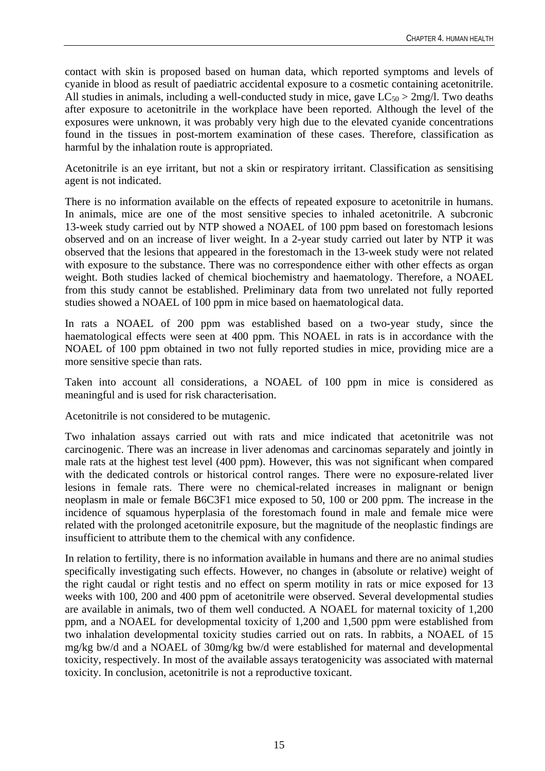contact with skin is proposed based on human data, which reported symptoms and levels of cyanide in blood as result of paediatric accidental exposure to a cosmetic containing acetonitrile. All studies in animals, including a well-conducted study in mice, gave  $LC_{50} > 2mg/l$ . Two deaths after exposure to acetonitrile in the workplace have been reported. Although the level of the exposures were unknown, it was probably very high due to the elevated cyanide concentrations found in the tissues in post-mortem examination of these cases. Therefore, classification as harmful by the inhalation route is appropriated.

Acetonitrile is an eye irritant, but not a skin or respiratory irritant. Classification as sensitising agent is not indicated.

There is no information available on the effects of repeated exposure to acetonitrile in humans. In animals, mice are one of the most sensitive species to inhaled acetonitrile. A subcronic 13-week study carried out by NTP showed a NOAEL of 100 ppm based on forestomach lesions observed and on an increase of liver weight. In a 2-year study carried out later by NTP it was observed that the lesions that appeared in the forestomach in the 13-week study were not related with exposure to the substance. There was no correspondence either with other effects as organ weight. Both studies lacked of chemical biochemistry and haematology. Therefore, a NOAEL from this study cannot be established. Preliminary data from two unrelated not fully reported studies showed a NOAEL of 100 ppm in mice based on haematological data.

In rats a NOAEL of 200 ppm was established based on a two-year study, since the haematological effects were seen at 400 ppm. This NOAEL in rats is in accordance with the NOAEL of 100 ppm obtained in two not fully reported studies in mice, providing mice are a more sensitive specie than rats.

Taken into account all considerations, a NOAEL of 100 ppm in mice is considered as meaningful and is used for risk characterisation.

Acetonitrile is not considered to be mutagenic.

Two inhalation assays carried out with rats and mice indicated that acetonitrile was not carcinogenic. There was an increase in liver adenomas and carcinomas separately and jointly in male rats at the highest test level (400 ppm). However, this was not significant when compared with the dedicated controls or historical control ranges. There were no exposure-related liver lesions in female rats. There were no chemical-related increases in malignant or benign neoplasm in male or female B6C3F1 mice exposed to 50, 100 or 200 ppm. The increase in the incidence of squamous hyperplasia of the forestomach found in male and female mice were related with the prolonged acetonitrile exposure, but the magnitude of the neoplastic findings are insufficient to attribute them to the chemical with any confidence.

In relation to fertility, there is no information available in humans and there are no animal studies specifically investigating such effects. However, no changes in (absolute or relative) weight of the right caudal or right testis and no effect on sperm motility in rats or mice exposed for 13 weeks with 100, 200 and 400 ppm of acetonitrile were observed. Several developmental studies are available in animals, two of them well conducted. A NOAEL for maternal toxicity of 1,200 ppm, and a NOAEL for developmental toxicity of 1,200 and 1,500 ppm were established from two inhalation developmental toxicity studies carried out on rats. In rabbits, a NOAEL of 15 mg/kg bw/d and a NOAEL of 30mg/kg bw/d were established for maternal and developmental toxicity, respectively. In most of the available assays teratogenicity was associated with maternal toxicity. In conclusion, acetonitrile is not a reproductive toxicant.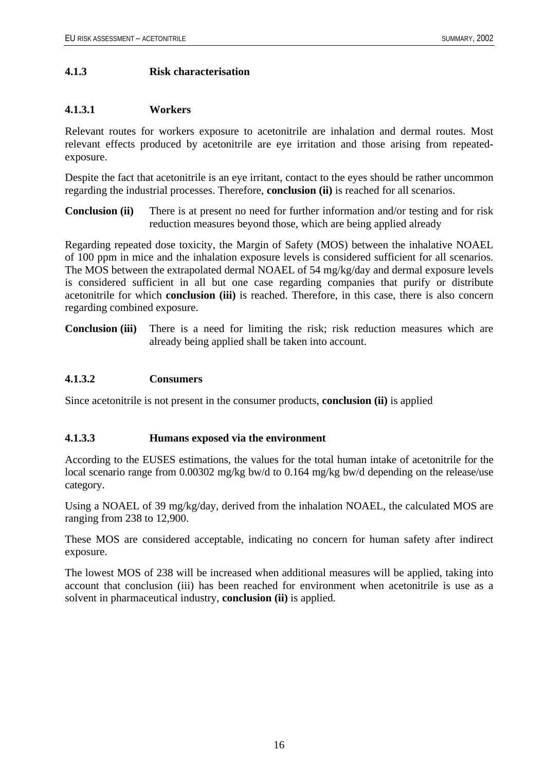# <span id="page-21-0"></span>**4.1.3 Risk characterisation**

# **4.1.3.1 Workers**

Relevant routes for workers exposure to acetonitrile are inhalation and dermal routes. Most relevant effects produced by acetonitrile are eye irritation and those arising from repeatedexposure.

Despite the fact that acetonitrile is an eye irritant, contact to the eyes should be rather uncommon regarding the industrial processes. Therefore, **conclusion (ii)** is reached for all scenarios.

**Conclusion (ii)** There is at present no need for further information and/or testing and for risk reduction measures beyond those, which are being applied already

Regarding repeated dose toxicity, the Margin of Safety (MOS) between the inhalative NOAEL of 100 ppm in mice and the inhalation exposure levels is considered sufficient for all scenarios. The MOS between the extrapolated dermal NOAEL of 54 mg/kg/day and dermal exposure levels is considered sufficient in all but one case regarding companies that purify or distribute acetonitrile for which **conclusion (iii)** is reached. Therefore, in this case, there is also concern regarding combined exposure.

**Conclusion (iii)** There is a need for limiting the risk; risk reduction measures which are already being applied shall be taken into account.

## **4.1.3.2 Consumers**

Since acetonitrile is not present in the consumer products, **conclusion (ii)** is applied

## **4.1.3.3 Humans exposed via the environment**

According to the EUSES estimations, the values for the total human intake of acetonitrile for the local scenario range from 0.00302 mg/kg bw/d to 0.164 mg/kg bw/d depending on the release/use category.

Using a NOAEL of 39 mg/kg/day, derived from the inhalation NOAEL, the calculated MOS are ranging from 238 to 12,900.

These MOS are considered acceptable, indicating no concern for human safety after indirect exposure.

The lowest MOS of 238 will be increased when additional measures will be applied, taking into account that conclusion (iii) has been reached for environment when acetonitrile is use as a solvent in pharmaceutical industry, **conclusion (ii)** is applied.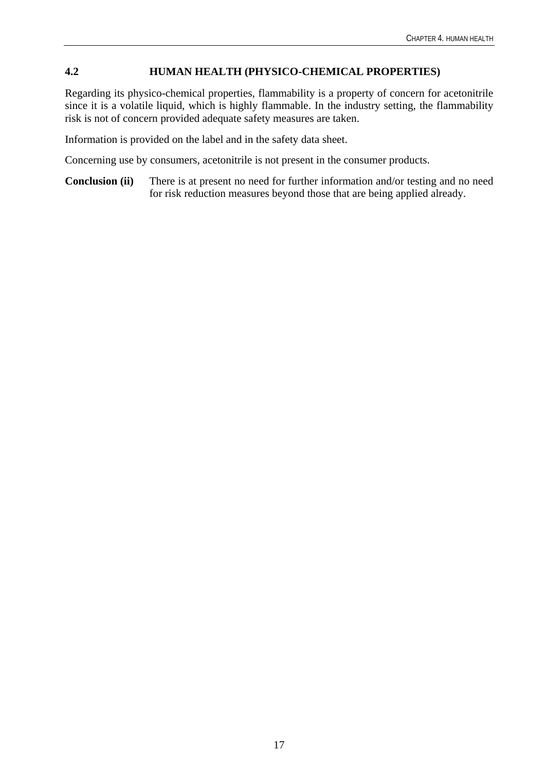# <span id="page-22-0"></span>**4.2 HUMAN HEALTH (PHYSICO-CHEMICAL PROPERTIES)**

Regarding its physico-chemical properties, flammability is a property of concern for acetonitrile since it is a volatile liquid, which is highly flammable. In the industry setting, the flammability risk is not of concern provided adequate safety measures are taken.

Information is provided on the label and in the safety data sheet.

Concerning use by consumers, acetonitrile is not present in the consumer products.

**Conclusion (ii)** There is at present no need for further information and/or testing and no need for risk reduction measures beyond those that are being applied already.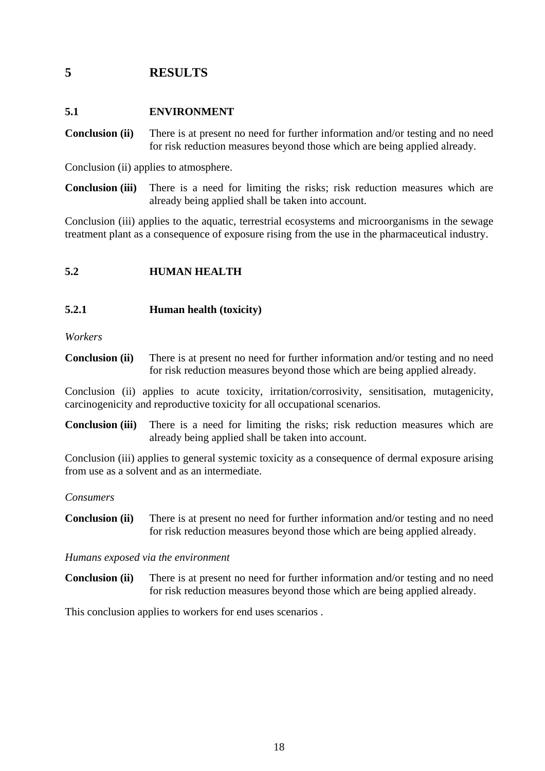# <span id="page-23-0"></span>**5 RESULTS**

# **5.1 ENVIRONMENT**

**Conclusion (ii)** There is at present no need for further information and/or testing and no need for risk reduction measures beyond those which are being applied already.

Conclusion (ii) applies to atmosphere.

**Conclusion (iii)** There is a need for limiting the risks; risk reduction measures which are already being applied shall be taken into account.

Conclusion (iii) applies to the aquatic, terrestrial ecosystems and microorganisms in the sewage treatment plant as a consequence of exposure rising from the use in the pharmaceutical industry.

# **5.2 HUMAN HEALTH**

## **5.2.1 Human health (toxicity)**

*Workers* 

**Conclusion (ii)** There is at present no need for further information and/or testing and no need for risk reduction measures beyond those which are being applied already.

Conclusion (ii) applies to acute toxicity, irritation/corrosivity, sensitisation, mutagenicity, carcinogenicity and reproductive toxicity for all occupational scenarios.

**Conclusion (iii)** There is a need for limiting the risks; risk reduction measures which are already being applied shall be taken into account.

Conclusion (iii) applies to general systemic toxicity as a consequence of dermal exposure arising from use as a solvent and as an intermediate.

## *Consumers*

**Conclusion (ii)** There is at present no need for further information and/or testing and no need for risk reduction measures beyond those which are being applied already.

## *Humans exposed via the environment*

**Conclusion (ii)** There is at present no need for further information and/or testing and no need for risk reduction measures beyond those which are being applied already.

This conclusion applies to workers for end uses scenarios .